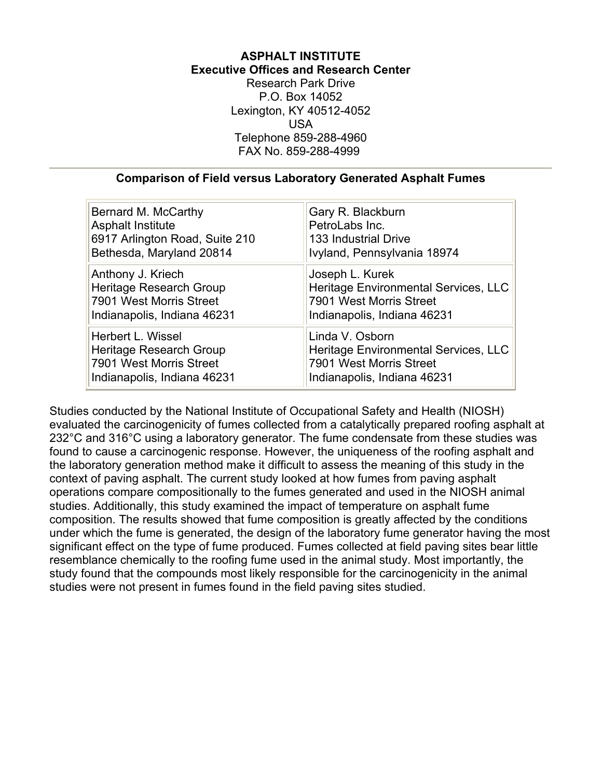# **ASPHALT INSTITUTE Executive Offices and Research Center**

Research Park Drive P.O. Box 14052 Lexington, KY 40512-4052 USA Telephone 859-288-4960 FAX No. 859-288-4999

#### **Comparison of Field versus Laboratory Generated Asphalt Fumes**

| Bernard M. McCarthy            | Gary R. Blackburn                    |
|--------------------------------|--------------------------------------|
| <b>Asphalt Institute</b>       | PetroLabs Inc.                       |
| 6917 Arlington Road, Suite 210 | <b>133 Industrial Drive</b>          |
| Bethesda, Maryland 20814       | Ivyland, Pennsylvania 18974          |
| Anthony J. Kriech              | Joseph L. Kurek                      |
| Heritage Research Group        | Heritage Environmental Services, LLC |
| 7901 West Morris Street        | 7901 West Morris Street              |
| Indianapolis, Indiana 46231    | Indianapolis, Indiana 46231          |
| Herbert L. Wissel              | Linda V. Osborn                      |
| Heritage Research Group        | Heritage Environmental Services, LLC |
| 7901 West Morris Street        | 7901 West Morris Street              |
| Indianapolis, Indiana 46231    | Indianapolis, Indiana 46231          |

Studies conducted by the National Institute of Occupational Safety and Health (NIOSH) evaluated the carcinogenicity of fumes collected from a catalytically prepared roofing asphalt at 232°C and 316°C using a laboratory generator. The fume condensate from these studies was found to cause a carcinogenic response. However, the uniqueness of the roofing asphalt and the laboratory generation method make it difficult to assess the meaning of this study in the context of paving asphalt. The current study looked at how fumes from paving asphalt operations compare compositionally to the fumes generated and used in the NIOSH animal studies. Additionally, this study examined the impact of temperature on asphalt fume composition. The results showed that fume composition is greatly affected by the conditions under which the fume is generated, the design of the laboratory fume generator having the most significant effect on the type of fume produced. Fumes collected at field paving sites bear little resemblance chemically to the roofing fume used in the animal study. Most importantly, the study found that the compounds most likely responsible for the carcinogenicity in the animal studies were not present in fumes found in the field paving sites studied.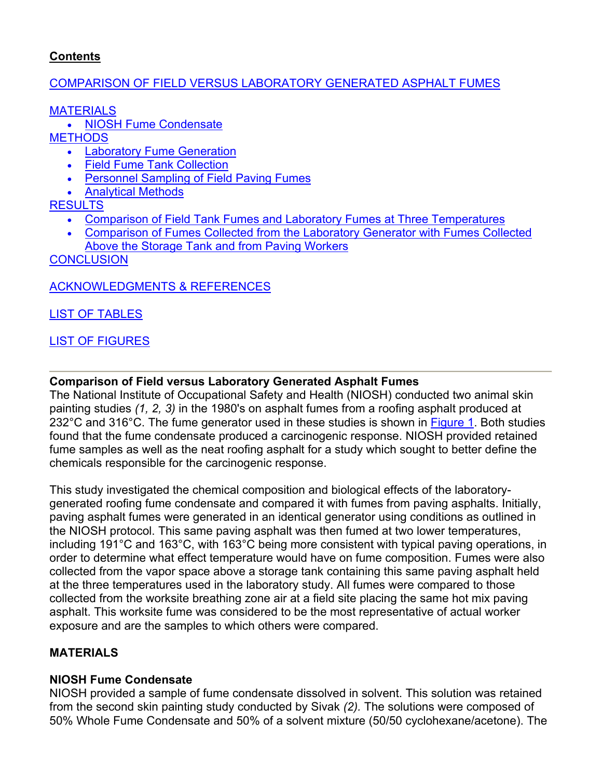# <span id="page-1-0"></span>**Contents**

## [COMPARISON OF FIELD VERSUS LABORATORY GENERATED ASPHALT FUMES](#page-1-0)

**[MATERIALS](#page-1-0)** 

• [NIOSH Fume Condensate](#page-1-0)

**[METHODS](#page-2-0)** 

- [Laboratory Fume Generation](#page-2-0)
- [Field Fume Tank Collection](#page-2-0)
- [Personnel Sampling of Field Paving Fumes](#page-2-0)
- [Analytical Methods](#page-2-0)

**[RESULTS](#page-3-0)** 

- [Comparison of Field Tank Fumes and Laboratory Fumes at Three Temperatures](#page-3-0)
- [Comparison of Fumes Collected from the Laboratory Generator with Fumes Collected](#page-4-0)  [Above the Storage Tank and from Paving Workers](#page-4-0)

**[CONCLUSION](#page-4-0)** 

# [ACKNOWLEDGMENTS & REFERENCES](#page-5-0)

[LIST OF TABLES](#page-6-0)

# [LIST OF FIGURES](#page-6-0)

# **Comparison of Field versus Laboratory Generated Asphalt Fumes**

The National Institute of Occupational Safety and Health (NIOSH) conducted two animal skin painting studies *(1, 2, 3)* in the 1980's on asphalt fumes from a roofing asphalt produced at 232°C and 316°C. The fume generator used in these studies is shown in [Figure 1](#page-10-0). Both studies found that the fume condensate produced a carcinogenic response. NIOSH provided retained fume samples as well as the neat roofing asphalt for a study which sought to better define the chemicals responsible for the carcinogenic response.

This study investigated the chemical composition and biological effects of the laboratorygenerated roofing fume condensate and compared it with fumes from paving asphalts. Initially, paving asphalt fumes were generated in an identical generator using conditions as outlined in the NIOSH protocol. This same paving asphalt was then fumed at two lower temperatures, including 191°C and 163°C, with 163°C being more consistent with typical paving operations, in order to determine what effect temperature would have on fume composition. Fumes were also collected from the vapor space above a storage tank containing this same paving asphalt held at the three temperatures used in the laboratory study. All fumes were compared to those collected from the worksite breathing zone air at a field site placing the same hot mix paving asphalt. This worksite fume was considered to be the most representative of actual worker exposure and are the samples to which others were compared.

# **MATERIALS**

# **NIOSH Fume Condensate**

NIOSH provided a sample of fume condensate dissolved in solvent. This solution was retained from the second skin painting study conducted by Sivak *(2).* The solutions were composed of 50% Whole Fume Condensate and 50% of a solvent mixture (50/50 cyclohexane/acetone). The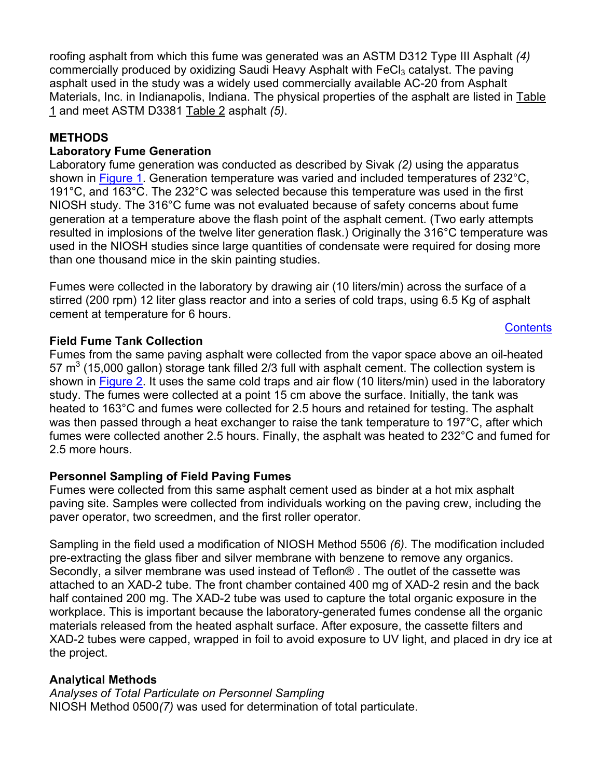<span id="page-2-0"></span>roofing asphalt from which this fume was generated was an ASTM D312 Type III Asphalt *(4)* commercially produced by oxidizing Saudi Heavy Asphalt with FeCl<sub>3</sub> catalyst. The paving asphalt used in the study was a widely used commercially available AC-20 from Asphalt Materials, Inc. in Indianapolis, Indiana. The physical properties of the asphalt are listed in Table [1](#page-6-0) and meet ASTM D3381 [Table 2](#page-7-0) asphalt *(5)*.

## **METHODS**

## **Laboratory Fume Generation**

Laboratory fume generation was conducted as described by Sivak *(2)* using the apparatus shown in [Figure 1](#page-10-0). Generation temperature was varied and included temperatures of 232°C, 191°C, and 163°C. The 232°C was selected because this temperature was used in the first NIOSH study. The 316°C fume was not evaluated because of safety concerns about fume generation at a temperature above the flash point of the asphalt cement. (Two early attempts resulted in implosions of the twelve liter generation flask.) Originally the 316°C temperature was used in the NIOSH studies since large quantities of condensate were required for dosing more than one thousand mice in the skin painting studies.

Fumes were collected in the laboratory by drawing air (10 liters/min) across the surface of a stirred (200 rpm) 12 liter glass reactor and into a series of cold traps, using 6.5 Kg of asphalt cement at temperature for 6 hours.

**[Contents](#page-1-0)** 

## **Field Fume Tank Collection**

Fumes from the same paving asphalt were collected from the vapor space above an oil-heated 57  $\text{m}^3$  (15,000 gallon) storage tank filled 2/3 full with asphalt cement. The collection system is shown in [Figure 2](#page-10-0). It uses the same cold traps and air flow (10 liters/min) used in the laboratory study. The fumes were collected at a point 15 cm above the surface. Initially, the tank was heated to 163°C and fumes were collected for 2.5 hours and retained for testing. The asphalt was then passed through a heat exchanger to raise the tank temperature to 197°C, after which fumes were collected another 2.5 hours. Finally, the asphalt was heated to 232°C and fumed for 2.5 more hours.

# **Personnel Sampling of Field Paving Fumes**

Fumes were collected from this same asphalt cement used as binder at a hot mix asphalt paving site. Samples were collected from individuals working on the paving crew, including the paver operator, two screedmen, and the first roller operator.

Sampling in the field used a modification of NIOSH Method 5506 *(6)*. The modification included pre-extracting the glass fiber and silver membrane with benzene to remove any organics. Secondly, a silver membrane was used instead of Teflon® . The outlet of the cassette was attached to an XAD-2 tube. The front chamber contained 400 mg of XAD-2 resin and the back half contained 200 mg. The XAD-2 tube was used to capture the total organic exposure in the workplace. This is important because the laboratory-generated fumes condense all the organic materials released from the heated asphalt surface. After exposure, the cassette filters and XAD-2 tubes were capped, wrapped in foil to avoid exposure to UV light, and placed in dry ice at the project.

# **Analytical Methods**

*Analyses of Total Particulate on Personnel Sampling*  NIOSH Method 0500*(7)* was used for determination of total particulate.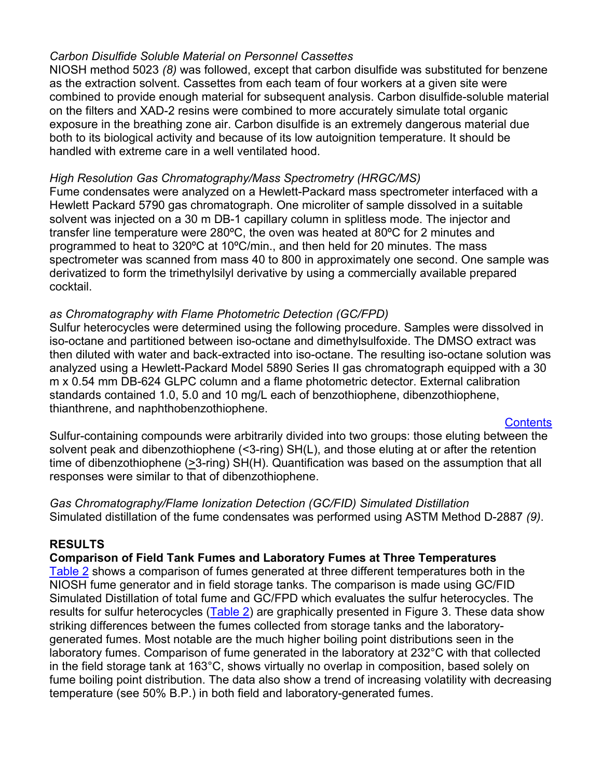## <span id="page-3-0"></span>*Carbon Disulfide Soluble Material on Personnel Cassettes*

NIOSH method 5023 *(8)* was followed, except that carbon disulfide was substituted for benzene as the extraction solvent. Cassettes from each team of four workers at a given site were combined to provide enough material for subsequent analysis. Carbon disulfide-soluble material on the filters and XAD-2 resins were combined to more accurately simulate total organic exposure in the breathing zone air. Carbon disulfide is an extremely dangerous material due both to its biological activity and because of its low autoignition temperature. It should be handled with extreme care in a well ventilated hood.

## *High Resolution Gas Chromatography/Mass Spectrometry (HRGC/MS)*

Fume condensates were analyzed on a Hewlett-Packard mass spectrometer interfaced with a Hewlett Packard 5790 gas chromatograph. One microliter of sample dissolved in a suitable solvent was injected on a 30 m DB-1 capillary column in splitless mode. The injector and transfer line temperature were 280ºC, the oven was heated at 80ºC for 2 minutes and programmed to heat to 320ºC at 10ºC/min., and then held for 20 minutes. The mass spectrometer was scanned from mass 40 to 800 in approximately one second. One sample was derivatized to form the trimethylsilyl derivative by using a commercially available prepared cocktail.

## *as Chromatography with Flame Photometric Detection (GC/FPD)*

Sulfur heterocycles were determined using the following procedure. Samples were dissolved in iso-octane and partitioned between iso-octane and dimethylsulfoxide. The DMSO extract was then diluted with water and back-extracted into iso-octane. The resulting iso-octane solution was analyzed using a Hewlett-Packard Model 5890 Series II gas chromatograph equipped with a 30 m x 0.54 mm DB-624 GLPC column and a flame photometric detector. External calibration standards contained 1.0, 5.0 and 10 mg/L each of benzothiophene, dibenzothiophene, thianthrene, and naphthobenzothiophene.

**[Contents](#page-1-0)** 

Sulfur-containing compounds were arbitrarily divided into two groups: those eluting between the solvent peak and dibenzothiophene (<3-ring) SH(L), and those eluting at or after the retention time of dibenzothiophene (>3-ring) SH(H). Quantification was based on the assumption that all responses were similar to that of dibenzothiophene.

## *Gas Chromatography/Flame Ionization Detection (GC/FID) Simulated Distillation* Simulated distillation of the fume condensates was performed using ASTM Method D-2887 *(9)*.

## **RESULTS**

#### **Comparison of Field Tank Fumes and Laboratory Fumes at Three Temperatures**

[Table 2](#page-7-0) shows a comparison of fumes generated at three different temperatures both in the NIOSH fume generator and in field storage tanks. The comparison is made using GC/FID Simulated Distillation of total fume and GC/FPD which evaluates the sulfur heterocycles. The results for sulfur heterocycles ([Table 2\)](#page-7-0) are graphically presented in Figure 3. These data show striking differences between the fumes collected from storage tanks and the laboratorygenerated fumes. Most notable are the much higher boiling point distributions seen in the laboratory fumes. Comparison of fume generated in the laboratory at 232°C with that collected in the field storage tank at 163°C, shows virtually no overlap in composition, based solely on fume boiling point distribution. The data also show a trend of increasing volatility with decreasing temperature (see 50% B.P.) in both field and laboratory-generated fumes.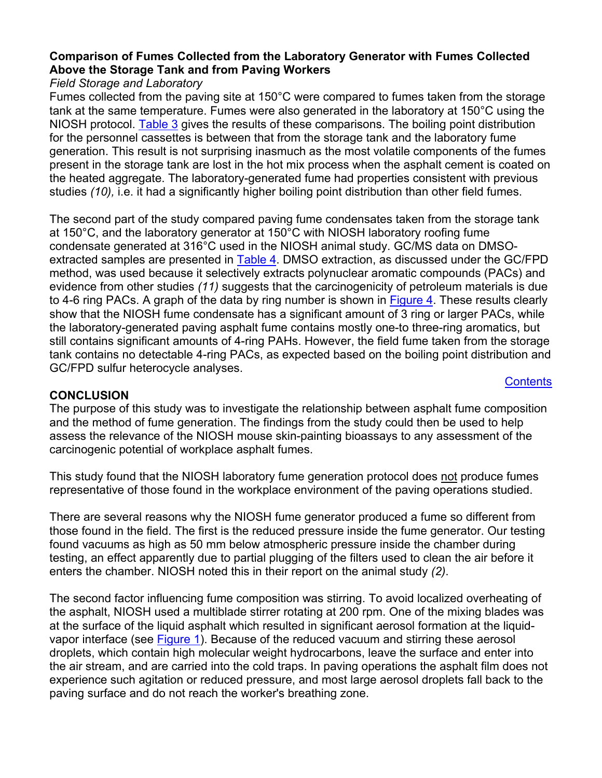## <span id="page-4-0"></span>**Comparison of Fumes Collected from the Laboratory Generator with Fumes Collected Above the Storage Tank and from Paving Workers**

## *Field Storage and Laboratory*

Fumes collected from the paving site at 150°C were compared to fumes taken from the storage tank at the same temperature. Fumes were also generated in the laboratory at 150°C using the NIOSH protoco[l. Table 3](#page-8-0) gives the results of these comparisons. The boiling point distribution for the personnel cassettes is between that from the storage tank and the laboratory fume generation. This result is not surprising inasmuch as the most volatile components of the fumes present in the storage tank are lost in the hot mix process when the asphalt cement is coated on the heated aggregate. The laboratory-generated fume had properties consistent with previous studies *(10),* i.e. it had a significantly higher boiling point distribution than other field fumes.

The second part of the study compared paving fume condensates taken from the storage tank at 150°C, and the laboratory generator at 150°C with NIOSH laboratory roofing fume condensate generated at 316°C used in the NIOSH animal study. GC/MS data on DMSO-extracted samples are presented in [Table 4](#page-9-0). DMSO extraction, as discussed under the GC/FPD method, was used because it selectively extracts polynuclear aromatic compounds (PACs) and evidence from other studies *(11)* suggests that the carcinogenicity of petroleum materials is due to 4-6 ring PACs. A graph of the data by ring number is shown in [Figure 4.](#page-11-0) These results clearly show that the NIOSH fume condensate has a significant amount of 3 ring or larger PACs, while the laboratory-generated paving asphalt fume contains mostly one-to three-ring aromatics, but still contains significant amounts of 4-ring PAHs. However, the field fume taken from the storage tank contains no detectable 4-ring PACs, as expected based on the boiling point distribution and GC/FPD sulfur heterocycle analyses.

#### **CONCLUSION**

**[Contents](#page-1-0)** 

The purpose of this study was to investigate the relationship between asphalt fume composition and the method of fume generation. The findings from the study could then be used to help assess the relevance of the NIOSH mouse skin-painting bioassays to any assessment of the carcinogenic potential of workplace asphalt fumes.

This study found that the NIOSH laboratory fume generation protocol does not produce fumes representative of those found in the workplace environment of the paving operations studied.

There are several reasons why the NIOSH fume generator produced a fume so different from those found in the field. The first is the reduced pressure inside the fume generator. Our testing found vacuums as high as 50 mm below atmospheric pressure inside the chamber during testing, an effect apparently due to partial plugging of the filters used to clean the air before it enters the chamber. NIOSH noted this in their report on the animal study *(2)*.

The second factor influencing fume composition was stirring. To avoid localized overheating of the asphalt, NIOSH used a multiblade stirrer rotating at 200 rpm. One of the mixing blades was at the surface of the liquid asphalt which resulted in significant aerosol formation at the liquidvapor interface (see [Figure 1\)](#page-10-0). Because of the reduced vacuum and stirring these aerosol droplets, which contain high molecular weight hydrocarbons, leave the surface and enter into the air stream, and are carried into the cold traps. In paving operations the asphalt film does not experience such agitation or reduced pressure, and most large aerosol droplets fall back to the paving surface and do not reach the worker's breathing zone.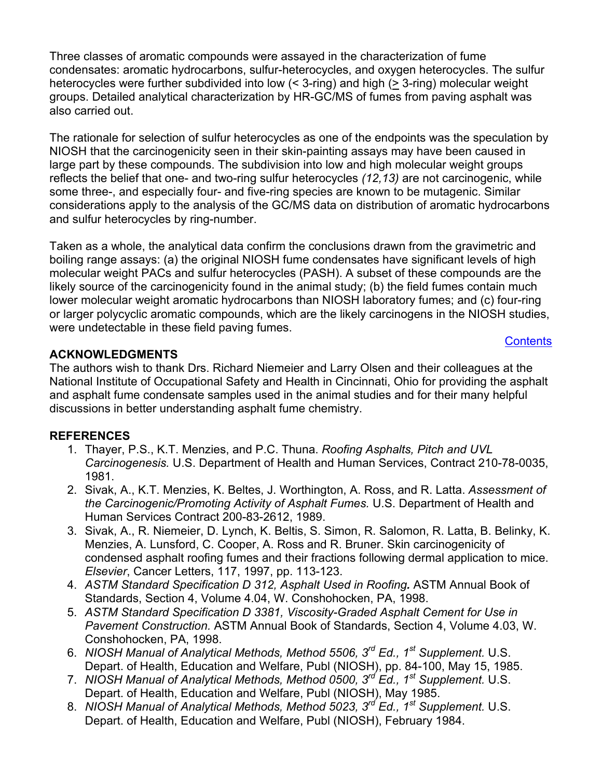<span id="page-5-0"></span>Three classes of aromatic compounds were assayed in the characterization of fume condensates: aromatic hydrocarbons, sulfur-heterocycles, and oxygen heterocycles. The sulfur heterocycles were further subdivided into low  $($  < 3-ring) and high  $($   $\geq$  3-ring) molecular weight groups. Detailed analytical characterization by HR-GC/MS of fumes from paving asphalt was also carried out.

The rationale for selection of sulfur heterocycles as one of the endpoints was the speculation by NIOSH that the carcinogenicity seen in their skin-painting assays may have been caused in large part by these compounds. The subdivision into low and high molecular weight groups reflects the belief that one- and two-ring sulfur heterocycles *(12,13)* are not carcinogenic, while some three-, and especially four- and five-ring species are known to be mutagenic. Similar considerations apply to the analysis of the GC/MS data on distribution of aromatic hydrocarbons and sulfur heterocycles by ring-number.

Taken as a whole, the analytical data confirm the conclusions drawn from the gravimetric and boiling range assays: (a) the original NIOSH fume condensates have significant levels of high molecular weight PACs and sulfur heterocycles (PASH). A subset of these compounds are the likely source of the carcinogenicity found in the animal study; (b) the field fumes contain much lower molecular weight aromatic hydrocarbons than NIOSH laboratory fumes; and (c) four-ring or larger polycyclic aromatic compounds, which are the likely carcinogens in the NIOSH studies, were undetectable in these field paving fumes.

## **[Contents](#page-1-0)**

## **ACKNOWLEDGMENTS**

The authors wish to thank Drs. Richard Niemeier and Larry Olsen and their colleagues at the National Institute of Occupational Safety and Health in Cincinnati, Ohio for providing the asphalt and asphalt fume condensate samples used in the animal studies and for their many helpful discussions in better understanding asphalt fume chemistry.

#### **REFERENCES**

- 1. Thayer, P.S., K.T. Menzies, and P.C. Thuna. *Roofing Asphalts, Pitch and UVL Carcinogenesis.* U.S. Department of Health and Human Services, Contract 210-78-0035, 1981.
- 2. Sivak, A., K.T. Menzies, K. Beltes, J. Worthington, A. Ross, and R. Latta. *Assessment of the Carcinogenic/Promoting Activity of Asphalt Fumes.* U.S. Department of Health and Human Services Contract 200-83-2612, 1989.
- 3. Sivak, A., R. Niemeier, D. Lynch, K. Beltis, S. Simon, R. Salomon, R. Latta, B. Belinky, K. Menzies, A. Lunsford, C. Cooper, A. Ross and R. Bruner. Skin carcinogenicity of condensed asphalt roofing fumes and their fractions following dermal application to mice. *Elsevier*, Cancer Letters, 117, 1997, pp. 113-123.
- 4. *ASTM Standard Specification D 312, Asphalt Used in Roofing.* ASTM Annual Book of Standards, Section 4, Volume 4.04, W. Conshohocken, PA, 1998.
- 5. *ASTM Standard Specification D 3381, Viscosity-Graded Asphalt Cement for Use in Pavement Construction.* ASTM Annual Book of Standards, Section 4, Volume 4.03, W. Conshohocken, PA, 1998.
- 6. *NIOSH Manual of Analytical Methods, Method 5506, 3rd Ed., 1st Supplement.* U.S. Depart. of Health, Education and Welfare, Publ (NIOSH), pp. 84-100, May 15, 1985.
- 7. *NIOSH Manual of Analytical Methods, Method 0500, 3rd Ed., 1st Supplement.* U.S. Depart. of Health, Education and Welfare, Publ (NIOSH), May 1985.
- 8. *NIOSH Manual of Analytical Methods, Method 5023, 3<sup>rd</sup> Ed., 1<sup>st</sup> Supplement. U.S.* Depart. of Health, Education and Welfare, Publ (NIOSH), February 1984.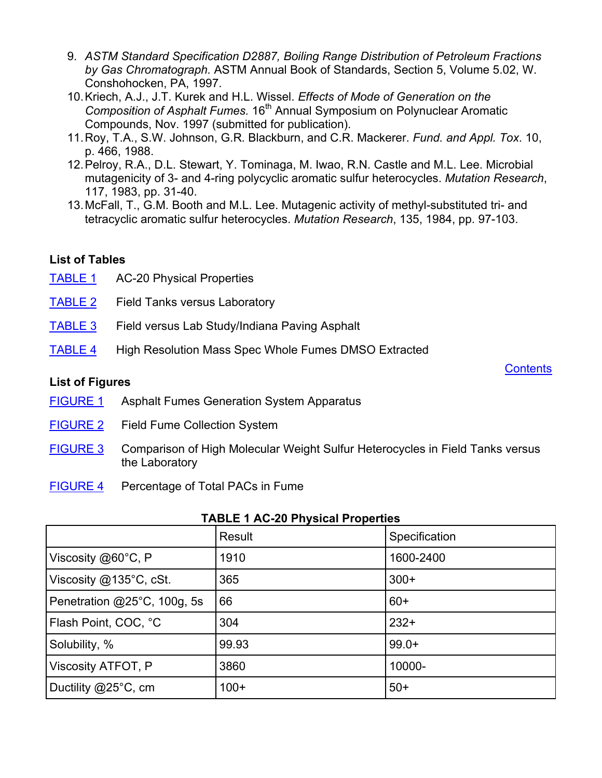- <span id="page-6-0"></span>9. *ASTM Standard Specification D2887, Boiling Range Distribution of Petroleum Fractions by Gas Chromatograph.* ASTM Annual Book of Standards, Section 5, Volume 5.02, W. Conshohocken, PA, 1997.
- 10. Kriech, A.J., J.T. Kurek and H.L. Wissel. *Effects of Mode of Generation on the Composition of Asphalt Fumes.* 16th Annual Symposium on Polynuclear Aromatic Compounds, Nov. 1997 (submitted for publication).
- 11. Roy, T.A., S.W. Johnson, G.R. Blackburn, and C.R. Mackerer. *Fund. and Appl. Tox*. 10, p. 466, 1988.
- 12. Pelroy, R.A., D.L. Stewart, Y. Tominaga, M. Iwao, R.N. Castle and M.L. Lee. Microbial mutagenicity of 3- and 4-ring polycyclic aromatic sulfur heterocycles. *Mutation Research*, 117, 1983, pp. 31-40.
- 13. McFall, T., G.M. Booth and M.L. Lee. Mutagenic activity of methyl-substituted tri- and tetracyclic aromatic sulfur heterocycles. *Mutation Research*, 135, 1984, pp. 97-103.

## **List of Tables**

- [TABLE 1](#page-6-0) AC-20 Physical Properties
- [TABLE 2](#page-7-0) Field Tanks versus Laboratory
- [TABLE 3](#page-8-0) Field versus Lab Study/Indiana Paving Asphalt
- [TABLE 4](#page-9-0) High Resolution Mass Spec Whole Fumes DMSO Extracted

## **List of Figures**

- [FIGURE 1](#page-10-0) Asphalt Fumes Generation System Apparatus
- [FIGURE 2](#page-10-0) Field Fume Collection System
- [FIGURE 3](#page-11-0) Comparison of High Molecular Weight Sulfur Heterocycles in Field Tanks versus the Laboratory

**[Contents](#page-1-0)** 

[FIGURE 4](#page-11-0) Percentage of Total PACs in Fume

|                                  | Result | Specification |
|----------------------------------|--------|---------------|
| Viscosity @60°C, P               | 1910   | 1600-2400     |
| Viscosity $@135^{\circ}C$ , cSt. | 365    | $300+$        |
| Penetration @25°C, 100g, 5s      | 66     | $60+$         |
| Flash Point, COC, °C             | 304    | $232+$        |
| Solubility, %                    | 99.93  | $99.0+$       |
| Viscosity ATFOT, P               | 3860   | 10000-        |
| Ductility $@25^{\circ}C$ , cm    | $100+$ | $50+$         |

#### **TABLE 1 AC-20 Physical Properties**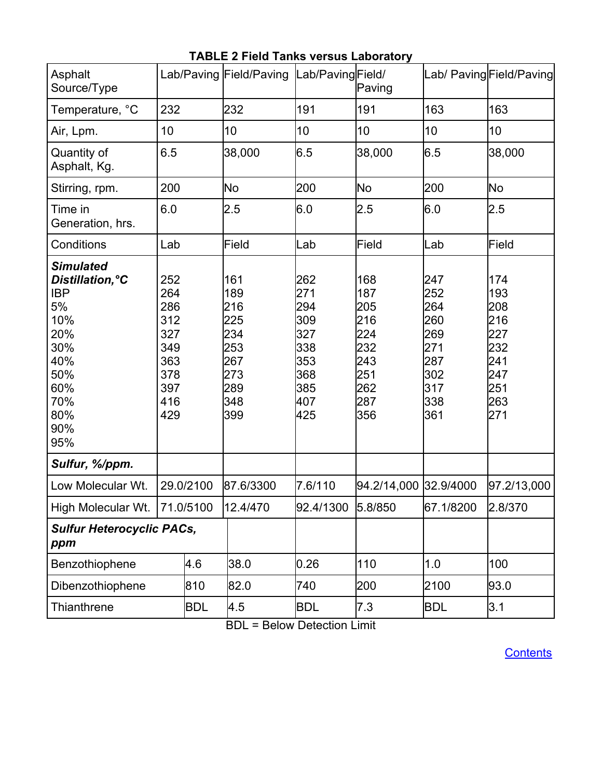<span id="page-7-0"></span>

| Asphalt<br>Source/Type                                                                                                         |                                                                           | Lab/Paving Field/Paving                                                   | Lab/PavingField/                                                          | Paving                                                                    |                                                                           | Lab/ Paving Field/Paving                                                  |
|--------------------------------------------------------------------------------------------------------------------------------|---------------------------------------------------------------------------|---------------------------------------------------------------------------|---------------------------------------------------------------------------|---------------------------------------------------------------------------|---------------------------------------------------------------------------|---------------------------------------------------------------------------|
| Temperature, °C                                                                                                                | 232                                                                       | 232                                                                       | 191                                                                       | 191                                                                       | 163                                                                       | 163                                                                       |
| Air, Lpm.                                                                                                                      | 10                                                                        | 10                                                                        | 10                                                                        | 10                                                                        | 10                                                                        | 10                                                                        |
| Quantity of<br>Asphalt, Kg.                                                                                                    | 6.5                                                                       | 38,000                                                                    | 6.5                                                                       | 38,000                                                                    | 6.5                                                                       | 38,000                                                                    |
| Stirring, rpm.                                                                                                                 | 200                                                                       | <b>No</b>                                                                 | 200                                                                       | <b>No</b>                                                                 | 200                                                                       | <b>No</b>                                                                 |
| Time in<br>Generation, hrs.                                                                                                    | 6.0                                                                       | 2.5                                                                       | 6.0                                                                       | 2.5                                                                       | 6.0                                                                       | 2.5                                                                       |
| Conditions                                                                                                                     | Lab                                                                       | Field                                                                     | Lab                                                                       | Field                                                                     | Lab                                                                       | Field                                                                     |
| <b>Simulated</b><br>Distillation, °C<br><b>IBP</b><br>5%<br>10%<br>20%<br>30%<br>40%<br>50%<br>60%<br>70%<br>80%<br>90%<br>95% | 252<br>264<br>286<br>312<br>327<br>349<br>363<br>378<br>397<br>416<br>429 | 161<br>189<br>216<br>225<br>234<br>253<br>267<br>273<br>289<br>348<br>399 | 262<br>271<br>294<br>309<br>327<br>338<br>353<br>368<br>385<br>407<br>425 | 168<br>187<br>205<br>216<br>224<br>232<br>243<br>251<br>262<br>287<br>356 | 247<br>252<br>264<br>260<br>269<br>271<br>287<br>302<br>317<br>338<br>361 | 174<br>193<br>208<br>216<br>227<br>232<br>241<br>247<br>251<br>263<br>271 |
| Sulfur, %/ppm.                                                                                                                 |                                                                           |                                                                           |                                                                           |                                                                           |                                                                           |                                                                           |
| Low Molecular Wt.                                                                                                              | 29.0/2100                                                                 | 87.6/3300                                                                 | 7.6/110                                                                   | 94.2/14,000 32.9/4000                                                     |                                                                           | 97.2/13,000                                                               |
| High Molecular Wt. 71.0/5100                                                                                                   |                                                                           | 12.4/470                                                                  | 92.4/1300                                                                 | 5.8/850                                                                   | 67.1/8200                                                                 | 2.8/370                                                                   |
| <b>Sulfur Heterocyclic PACs,</b><br>ppm                                                                                        |                                                                           |                                                                           |                                                                           |                                                                           |                                                                           |                                                                           |
| Benzothiophene                                                                                                                 | 4.6                                                                       | 38.0                                                                      | 0.26                                                                      | 110                                                                       | 1.0                                                                       | 100                                                                       |
| Dibenzothiophene                                                                                                               | 810                                                                       | 82.0                                                                      | 740                                                                       | 200                                                                       | 2100                                                                      | 93.0                                                                      |
| Thianthrene                                                                                                                    | <b>BDL</b>                                                                | 4.5                                                                       | <b>BDL</b>                                                                | 7.3                                                                       | <b>BDL</b>                                                                | 3.1                                                                       |

# **TABLE 2 Field Tanks versus Laboratory**

BDL = Below Detection Limit

**[Contents](#page-1-0)**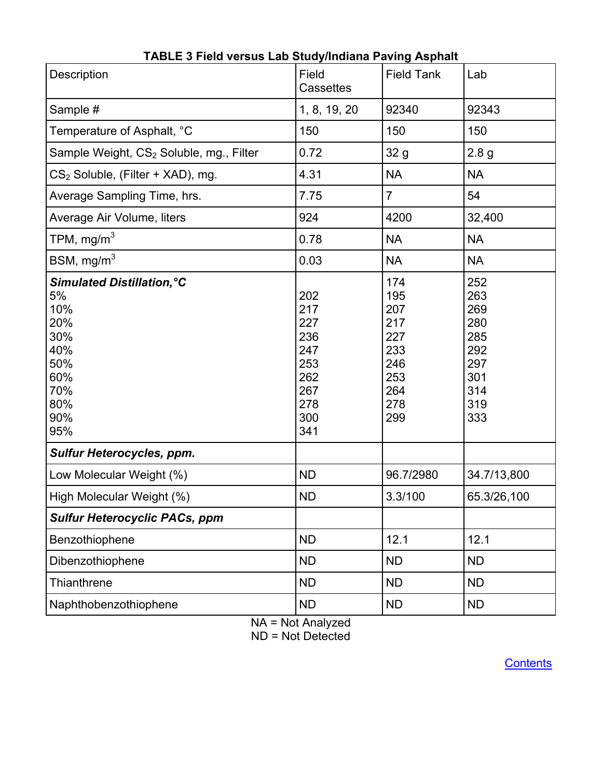<span id="page-8-0"></span>

| Description                                                                                                   | Field<br>Cassettes                                                        | <b>Field Tank</b>                                                         | Lab                                                                       |
|---------------------------------------------------------------------------------------------------------------|---------------------------------------------------------------------------|---------------------------------------------------------------------------|---------------------------------------------------------------------------|
| Sample #                                                                                                      | 1, 8, 19, 20                                                              | 92340                                                                     | 92343                                                                     |
| Temperature of Asphalt, °C                                                                                    | 150                                                                       | 150                                                                       | 150                                                                       |
| Sample Weight, CS <sub>2</sub> Soluble, mg., Filter                                                           | 0.72                                                                      | 32 g                                                                      | 2.8 <sub>g</sub>                                                          |
| $CS2$ Soluble, (Filter + XAD), mg.                                                                            | 4.31                                                                      | <b>NA</b>                                                                 | <b>NA</b>                                                                 |
| Average Sampling Time, hrs.                                                                                   | 7.75                                                                      | $\overline{7}$                                                            | 54                                                                        |
| Average Air Volume, liters                                                                                    | 924                                                                       | 4200                                                                      | 32,400                                                                    |
| TPM, $mg/m3$                                                                                                  | 0.78                                                                      | <b>NA</b>                                                                 | <b>NA</b>                                                                 |
| BSM, $mg/m3$                                                                                                  | 0.03                                                                      | <b>NA</b>                                                                 | <b>NA</b>                                                                 |
| <b>Simulated Distillation, °C</b><br>5%<br>10%<br>20%<br>30%<br>40%<br>50%<br>60%<br>70%<br>80%<br>90%<br>95% | 202<br>217<br>227<br>236<br>247<br>253<br>262<br>267<br>278<br>300<br>341 | 174<br>195<br>207<br>217<br>227<br>233<br>246<br>253<br>264<br>278<br>299 | 252<br>263<br>269<br>280<br>285<br>292<br>297<br>301<br>314<br>319<br>333 |
| <b>Sulfur Heterocycles, ppm.</b>                                                                              |                                                                           |                                                                           |                                                                           |
| Low Molecular Weight (%)                                                                                      | <b>ND</b>                                                                 | 96.7/2980                                                                 | 34.7/13,800                                                               |
| High Molecular Weight (%)                                                                                     | <b>ND</b>                                                                 | 3.3/100                                                                   | 65.3/26,100                                                               |
| <b>Sulfur Heterocyclic PACs, ppm</b>                                                                          |                                                                           |                                                                           |                                                                           |
| Benzothiophene                                                                                                | <b>ND</b>                                                                 | 12.1                                                                      | 12.1                                                                      |
| Dibenzothiophene                                                                                              | <b>ND</b>                                                                 | <b>ND</b>                                                                 | <b>ND</b>                                                                 |
| Thianthrene                                                                                                   | <b>ND</b>                                                                 | <b>ND</b>                                                                 | <b>ND</b>                                                                 |
| Naphthobenzothiophene                                                                                         | <b>ND</b>                                                                 | <b>ND</b>                                                                 | <b>ND</b>                                                                 |

# **TABLE 3 Field versus Lab Study/Indiana Paving Asphalt**

NA = Not Analyzed  $ND = Not$  Detected

**[Contents](#page-1-0)**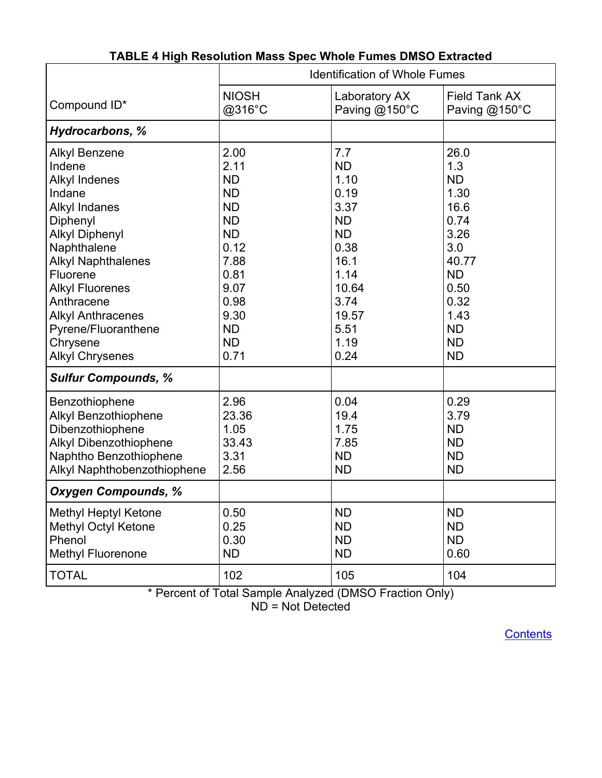<span id="page-9-0"></span>

|                                                                                                                                                                                                                                                                                                                        | <b>Identification of Whole Fumes</b>                                                                                                                            |                                                                                                                                              |                                                                                                                                                      |  |
|------------------------------------------------------------------------------------------------------------------------------------------------------------------------------------------------------------------------------------------------------------------------------------------------------------------------|-----------------------------------------------------------------------------------------------------------------------------------------------------------------|----------------------------------------------------------------------------------------------------------------------------------------------|------------------------------------------------------------------------------------------------------------------------------------------------------|--|
| Compound ID*                                                                                                                                                                                                                                                                                                           | <b>NIOSH</b><br>@316°C                                                                                                                                          | Laboratory AX<br>Paving @150°C                                                                                                               | <b>Field Tank AX</b><br>Paving @150°C                                                                                                                |  |
| <b>Hydrocarbons, %</b>                                                                                                                                                                                                                                                                                                 |                                                                                                                                                                 |                                                                                                                                              |                                                                                                                                                      |  |
| <b>Alkyl Benzene</b><br>Indene<br><b>Alkyl Indenes</b><br>Indane<br><b>Alkyl Indanes</b><br>Diphenyl<br><b>Alkyl Diphenyl</b><br>Naphthalene<br><b>Alkyl Naphthalenes</b><br>Fluorene<br><b>Alkyl Fluorenes</b><br>Anthracene<br><b>Alkyl Anthracenes</b><br>Pyrene/Fluoranthene<br>Chrysene<br><b>Alkyl Chrysenes</b> | 2.00<br>2.11<br><b>ND</b><br><b>ND</b><br><b>ND</b><br><b>ND</b><br><b>ND</b><br>0.12<br>7.88<br>0.81<br>9.07<br>0.98<br>9.30<br><b>ND</b><br><b>ND</b><br>0.71 | 7.7<br><b>ND</b><br>1.10<br>0.19<br>3.37<br><b>ND</b><br><b>ND</b><br>0.38<br>16.1<br>1.14<br>10.64<br>3.74<br>19.57<br>5.51<br>1.19<br>0.24 | 26.0<br>1.3<br><b>ND</b><br>1.30<br>16.6<br>0.74<br>3.26<br>3.0<br>40.77<br><b>ND</b><br>0.50<br>0.32<br>1.43<br><b>ND</b><br><b>ND</b><br><b>ND</b> |  |
| <b>Sulfur Compounds, %</b>                                                                                                                                                                                                                                                                                             |                                                                                                                                                                 |                                                                                                                                              |                                                                                                                                                      |  |
| Benzothiophene<br><b>Alkyl Benzothiophene</b><br>Dibenzothiophene<br>Alkyl Dibenzothiophene<br>Naphtho Benzothiophene<br>Alkyl Naphthobenzothiophene                                                                                                                                                                   | 2.96<br>23.36<br>1.05<br>33.43<br>3.31<br>2.56                                                                                                                  | 0.04<br>19.4<br>1.75<br>7.85<br><b>ND</b><br><b>ND</b>                                                                                       | 0.29<br>3.79<br><b>ND</b><br><b>ND</b><br><b>ND</b><br><b>ND</b>                                                                                     |  |
| <b>Oxygen Compounds, %</b>                                                                                                                                                                                                                                                                                             |                                                                                                                                                                 |                                                                                                                                              |                                                                                                                                                      |  |
| <b>Methyl Heptyl Ketone</b><br>Methyl Octyl Ketone<br>Phenol<br><b>Methyl Fluorenone</b>                                                                                                                                                                                                                               | 0.50<br>0.25<br>0.30<br><b>ND</b>                                                                                                                               | <b>ND</b><br><b>ND</b><br><b>ND</b><br><b>ND</b>                                                                                             | <b>ND</b><br><b>ND</b><br><b>ND</b><br>0.60                                                                                                          |  |
| <b>TOTAL</b>                                                                                                                                                                                                                                                                                                           | 102                                                                                                                                                             | 105                                                                                                                                          | 104                                                                                                                                                  |  |

# **TABLE 4 High Resolution Mass Spec Whole Fumes DMSO Extracted**

\* Percent of Total Sample Analyzed (DMSO Fraction Only)

ND = Not Detected

**[Contents](#page-1-0)**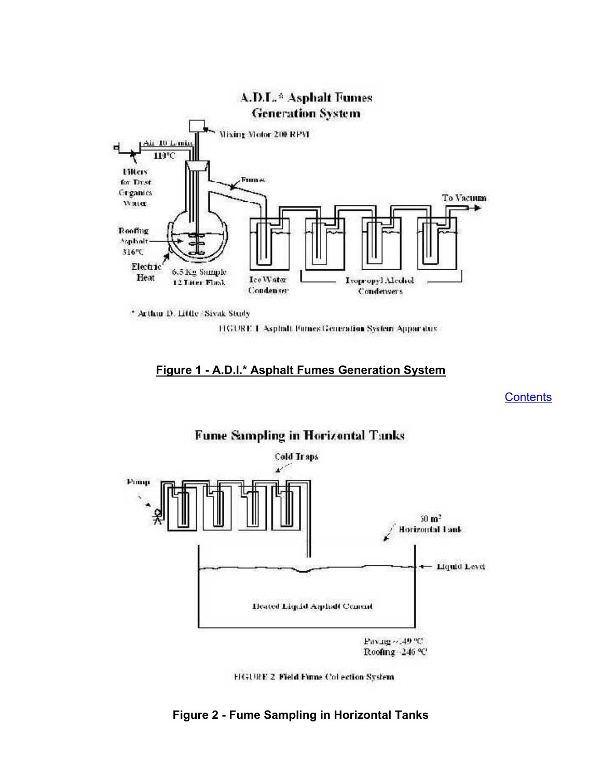<span id="page-10-0"></span>

\* Arthur D. Little Sivak Study

FIGURE 1 Asphalt Funies Generation System Apparatus

#### **Figure 1 - A.D.I.\* Asphalt Fumes Generation System**

**[Contents](#page-1-0)** 





# **Figure 2 - Fume Sampling in Horizontal Tanks**